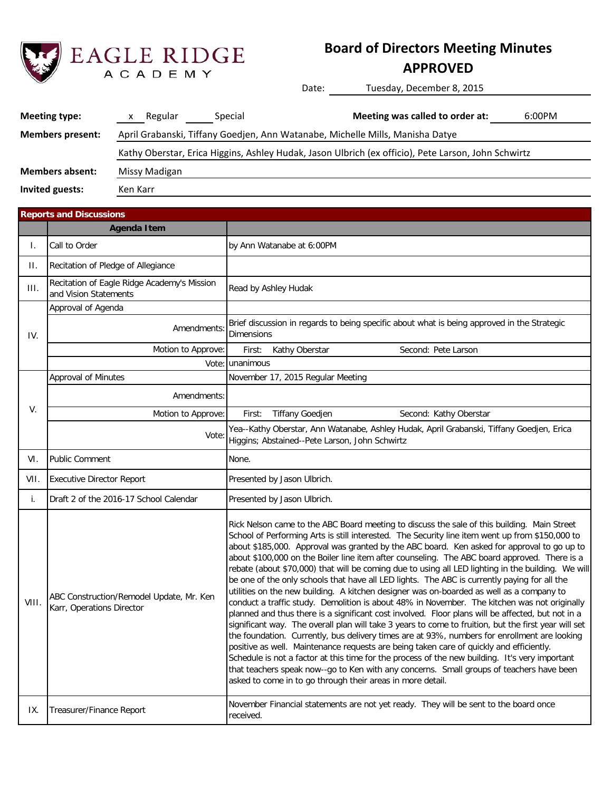

# **Board of Directors Meeting Minutes**

## **APPROVED**

Date: Tuesday, December 8, 2015

| Meeting type:               | Regular                                                                                             | Special | Meeting was called to order at:                                               | 6:00PM |  |  |  |
|-----------------------------|-----------------------------------------------------------------------------------------------------|---------|-------------------------------------------------------------------------------|--------|--|--|--|
| <b>Members present:</b>     |                                                                                                     |         | April Grabanski, Tiffany Goedjen, Ann Watanabe, Michelle Mills, Manisha Datye |        |  |  |  |
|                             | Kathy Oberstar, Erica Higgins, Ashley Hudak, Jason Ulbrich (ex officio), Pete Larson, John Schwirtz |         |                                                                               |        |  |  |  |
| <b>Members absent:</b>      | Missy Madigan                                                                                       |         |                                                                               |        |  |  |  |
| Invited guests:<br>Ken Karr |                                                                                                     |         |                                                                               |        |  |  |  |

|       | <b>Reports and Discussions</b>                                        |                                                                                                                                                                                                                                                                                                                                                                                                                                                                                                                                                                                                                                                                                                                                                                                                                                                                                                                                                                                                                                                                                                                                                                                                                                                                                                                                                                                                                                                                    |  |  |  |  |  |  |
|-------|-----------------------------------------------------------------------|--------------------------------------------------------------------------------------------------------------------------------------------------------------------------------------------------------------------------------------------------------------------------------------------------------------------------------------------------------------------------------------------------------------------------------------------------------------------------------------------------------------------------------------------------------------------------------------------------------------------------------------------------------------------------------------------------------------------------------------------------------------------------------------------------------------------------------------------------------------------------------------------------------------------------------------------------------------------------------------------------------------------------------------------------------------------------------------------------------------------------------------------------------------------------------------------------------------------------------------------------------------------------------------------------------------------------------------------------------------------------------------------------------------------------------------------------------------------|--|--|--|--|--|--|
|       | Agenda Item                                                           |                                                                                                                                                                                                                                                                                                                                                                                                                                                                                                                                                                                                                                                                                                                                                                                                                                                                                                                                                                                                                                                                                                                                                                                                                                                                                                                                                                                                                                                                    |  |  |  |  |  |  |
| I.    | Call to Order                                                         | by Ann Watanabe at 6:00PM                                                                                                                                                                                                                                                                                                                                                                                                                                                                                                                                                                                                                                                                                                                                                                                                                                                                                                                                                                                                                                                                                                                                                                                                                                                                                                                                                                                                                                          |  |  |  |  |  |  |
| Н.    | Recitation of Pledge of Allegiance                                    |                                                                                                                                                                                                                                                                                                                                                                                                                                                                                                                                                                                                                                                                                                                                                                                                                                                                                                                                                                                                                                                                                                                                                                                                                                                                                                                                                                                                                                                                    |  |  |  |  |  |  |
| III.  | Recitation of Eagle Ridge Academy's Mission<br>and Vision Statements  | Read by Ashley Hudak                                                                                                                                                                                                                                                                                                                                                                                                                                                                                                                                                                                                                                                                                                                                                                                                                                                                                                                                                                                                                                                                                                                                                                                                                                                                                                                                                                                                                                               |  |  |  |  |  |  |
|       | Approval of Agenda                                                    |                                                                                                                                                                                                                                                                                                                                                                                                                                                                                                                                                                                                                                                                                                                                                                                                                                                                                                                                                                                                                                                                                                                                                                                                                                                                                                                                                                                                                                                                    |  |  |  |  |  |  |
| IV.   | <b>Amendments</b>                                                     | Brief discussion in regards to being specific about what is being approved in the Strategic<br><b>Dimensions</b>                                                                                                                                                                                                                                                                                                                                                                                                                                                                                                                                                                                                                                                                                                                                                                                                                                                                                                                                                                                                                                                                                                                                                                                                                                                                                                                                                   |  |  |  |  |  |  |
|       | Motion to Approve:                                                    | Kathy Oberstar<br>Second: Pete Larson<br>First:                                                                                                                                                                                                                                                                                                                                                                                                                                                                                                                                                                                                                                                                                                                                                                                                                                                                                                                                                                                                                                                                                                                                                                                                                                                                                                                                                                                                                    |  |  |  |  |  |  |
|       | Vote:                                                                 | unanimous                                                                                                                                                                                                                                                                                                                                                                                                                                                                                                                                                                                                                                                                                                                                                                                                                                                                                                                                                                                                                                                                                                                                                                                                                                                                                                                                                                                                                                                          |  |  |  |  |  |  |
|       | <b>Approval of Minutes</b>                                            | November 17, 2015 Regular Meeting                                                                                                                                                                                                                                                                                                                                                                                                                                                                                                                                                                                                                                                                                                                                                                                                                                                                                                                                                                                                                                                                                                                                                                                                                                                                                                                                                                                                                                  |  |  |  |  |  |  |
|       | Amendments:                                                           |                                                                                                                                                                                                                                                                                                                                                                                                                                                                                                                                                                                                                                                                                                                                                                                                                                                                                                                                                                                                                                                                                                                                                                                                                                                                                                                                                                                                                                                                    |  |  |  |  |  |  |
| V.    | Motion to Approve:                                                    | <b>Tiffany Goedjen</b><br>Second: Kathy Oberstar<br>First:                                                                                                                                                                                                                                                                                                                                                                                                                                                                                                                                                                                                                                                                                                                                                                                                                                                                                                                                                                                                                                                                                                                                                                                                                                                                                                                                                                                                         |  |  |  |  |  |  |
|       | Vote:                                                                 | Yea--Kathy Oberstar, Ann Watanabe, Ashley Hudak, April Grabanski, Tiffany Goedjen, Erica<br>Higgins; Abstained--Pete Larson, John Schwirtz                                                                                                                                                                                                                                                                                                                                                                                                                                                                                                                                                                                                                                                                                                                                                                                                                                                                                                                                                                                                                                                                                                                                                                                                                                                                                                                         |  |  |  |  |  |  |
| VI.   | <b>Public Comment</b>                                                 | None.                                                                                                                                                                                                                                                                                                                                                                                                                                                                                                                                                                                                                                                                                                                                                                                                                                                                                                                                                                                                                                                                                                                                                                                                                                                                                                                                                                                                                                                              |  |  |  |  |  |  |
| VII.  | <b>Executive Director Report</b>                                      | Presented by Jason Ulbrich.                                                                                                                                                                                                                                                                                                                                                                                                                                                                                                                                                                                                                                                                                                                                                                                                                                                                                                                                                                                                                                                                                                                                                                                                                                                                                                                                                                                                                                        |  |  |  |  |  |  |
| i.    | Draft 2 of the 2016-17 School Calendar                                | Presented by Jason Ulbrich.                                                                                                                                                                                                                                                                                                                                                                                                                                                                                                                                                                                                                                                                                                                                                                                                                                                                                                                                                                                                                                                                                                                                                                                                                                                                                                                                                                                                                                        |  |  |  |  |  |  |
| VIII. | ABC Construction/Remodel Update, Mr. Ken<br>Karr, Operations Director | Rick Nelson came to the ABC Board meeting to discuss the sale of this building. Main Street<br>School of Performing Arts is still interested. The Security line item went up from \$150,000 to<br>about \$185,000. Approval was granted by the ABC board. Ken asked for approval to go up to<br>about \$100,000 on the Boiler line item after counseling. The ABC board approved. There is a<br>rebate (about \$70,000) that will be coming due to using all LED lighting in the building. We will<br>be one of the only schools that have all LED lights. The ABC is currently paying for all the<br>utilities on the new building. A kitchen designer was on-boarded as well as a company to<br>conduct a traffic study. Demolition is about 48% in November. The kitchen was not originally<br>planned and thus there is a significant cost involved. Floor plans will be affected, but not in a<br>significant way. The overall plan will take 3 years to come to fruition, but the first year will set<br>the foundation. Currently, bus delivery times are at 93%, numbers for enrollment are looking<br>positive as well. Maintenance requests are being taken care of quickly and efficiently.<br>Schedule is not a factor at this time for the process of the new building. It's very important<br>that teachers speak now--go to Ken with any concerns. Small groups of teachers have been<br>asked to come in to go through their areas in more detail. |  |  |  |  |  |  |
| IX.   | Treasurer/Finance Report                                              | November Financial statements are not yet ready. They will be sent to the board once<br>received.                                                                                                                                                                                                                                                                                                                                                                                                                                                                                                                                                                                                                                                                                                                                                                                                                                                                                                                                                                                                                                                                                                                                                                                                                                                                                                                                                                  |  |  |  |  |  |  |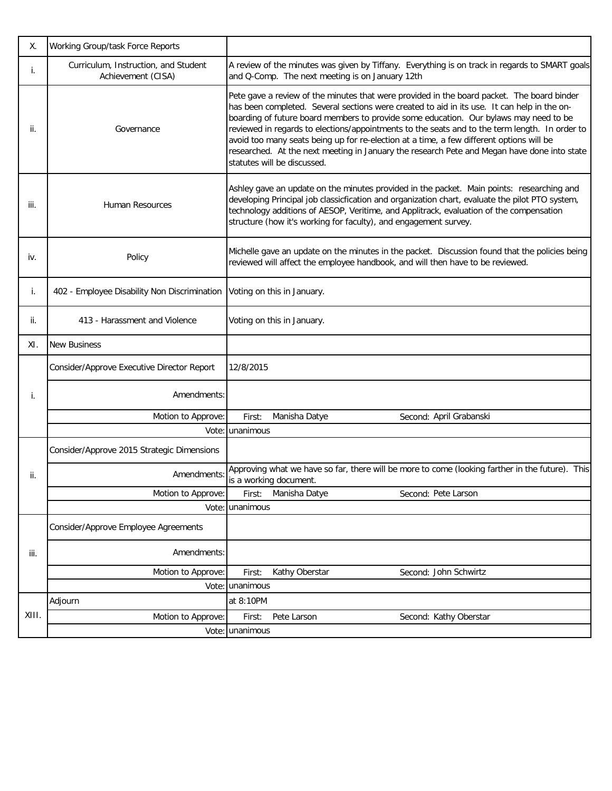| Χ.    | Working Group/task Force Reports                           |                                                                                                                                                                                                                                                                                                                                                                                                                                                                                                                                                                                                                |
|-------|------------------------------------------------------------|----------------------------------------------------------------------------------------------------------------------------------------------------------------------------------------------------------------------------------------------------------------------------------------------------------------------------------------------------------------------------------------------------------------------------------------------------------------------------------------------------------------------------------------------------------------------------------------------------------------|
| i.    | Curriculum, Instruction, and Student<br>Achievement (CISA) | A review of the minutes was given by Tiffany. Everything is on track in regards to SMART goals<br>and Q-Comp. The next meeting is on January 12th                                                                                                                                                                                                                                                                                                                                                                                                                                                              |
| ii.   | Governance                                                 | Pete gave a review of the minutes that were provided in the board packet. The board binder<br>has been completed. Several sections were created to aid in its use. It can help in the on-<br>boarding of future board members to provide some education. Our bylaws may need to be<br>reviewed in regards to elections/appointments to the seats and to the term length. In order to<br>avoid too many seats being up for re-election at a time, a few different options will be<br>researched. At the next meeting in January the research Pete and Megan have done into state<br>statutes will be discussed. |
| iii.  | <b>Human Resources</b>                                     | Ashley gave an update on the minutes provided in the packet. Main points: researching and<br>developing Principal job classicfication and organization chart, evaluate the pilot PTO system,<br>technology additions of AESOP, Veritime, and Applitrack, evaluation of the compensation<br>structure (how it's working for faculty), and engagement survey.                                                                                                                                                                                                                                                    |
| iv.   | Policy                                                     | Michelle gave an update on the minutes in the packet. Discussion found that the policies being<br>reviewed will affect the employee handbook, and will then have to be reviewed.                                                                                                                                                                                                                                                                                                                                                                                                                               |
| i.    | 402 - Employee Disability Non Discrimination               | Voting on this in January.                                                                                                                                                                                                                                                                                                                                                                                                                                                                                                                                                                                     |
| ii.   | 413 - Harassment and Violence                              | Voting on this in January.                                                                                                                                                                                                                                                                                                                                                                                                                                                                                                                                                                                     |
| XI.   | <b>New Business</b>                                        |                                                                                                                                                                                                                                                                                                                                                                                                                                                                                                                                                                                                                |
|       | Consider/Approve Executive Director Report                 | 12/8/2015                                                                                                                                                                                                                                                                                                                                                                                                                                                                                                                                                                                                      |
| i.    | Amendments:                                                |                                                                                                                                                                                                                                                                                                                                                                                                                                                                                                                                                                                                                |
|       | Motion to Approve:                                         | Manisha Datye<br>Second: April Grabanski<br>First:                                                                                                                                                                                                                                                                                                                                                                                                                                                                                                                                                             |
|       | Vote:                                                      | unanimous                                                                                                                                                                                                                                                                                                                                                                                                                                                                                                                                                                                                      |
|       | Consider/Approve 2015 Strategic Dimensions                 |                                                                                                                                                                                                                                                                                                                                                                                                                                                                                                                                                                                                                |
| ii.   | Amendments:                                                | Approving what we have so far, there will be more to come (looking farther in the future). This<br>is a working document.                                                                                                                                                                                                                                                                                                                                                                                                                                                                                      |
|       | Motion to Approve:                                         | Manisha Datye<br>Second: Pete Larson<br>First:                                                                                                                                                                                                                                                                                                                                                                                                                                                                                                                                                                 |
|       | Vote:                                                      | unanimous                                                                                                                                                                                                                                                                                                                                                                                                                                                                                                                                                                                                      |
|       | Consider/Approve Employee Agreements                       |                                                                                                                                                                                                                                                                                                                                                                                                                                                                                                                                                                                                                |
| iii.  | Amendments:                                                |                                                                                                                                                                                                                                                                                                                                                                                                                                                                                                                                                                                                                |
|       | Motion to Approve:                                         | Kathy Oberstar<br>Second: John Schwirtz<br>First:                                                                                                                                                                                                                                                                                                                                                                                                                                                                                                                                                              |
|       | Vote:                                                      | unanimous                                                                                                                                                                                                                                                                                                                                                                                                                                                                                                                                                                                                      |
|       | Adjourn                                                    | at 8:10PM                                                                                                                                                                                                                                                                                                                                                                                                                                                                                                                                                                                                      |
| XIII. | Motion to Approve:                                         | First:<br>Pete Larson<br>Second: Kathy Oberstar                                                                                                                                                                                                                                                                                                                                                                                                                                                                                                                                                                |
|       |                                                            | Vote: unanimous                                                                                                                                                                                                                                                                                                                                                                                                                                                                                                                                                                                                |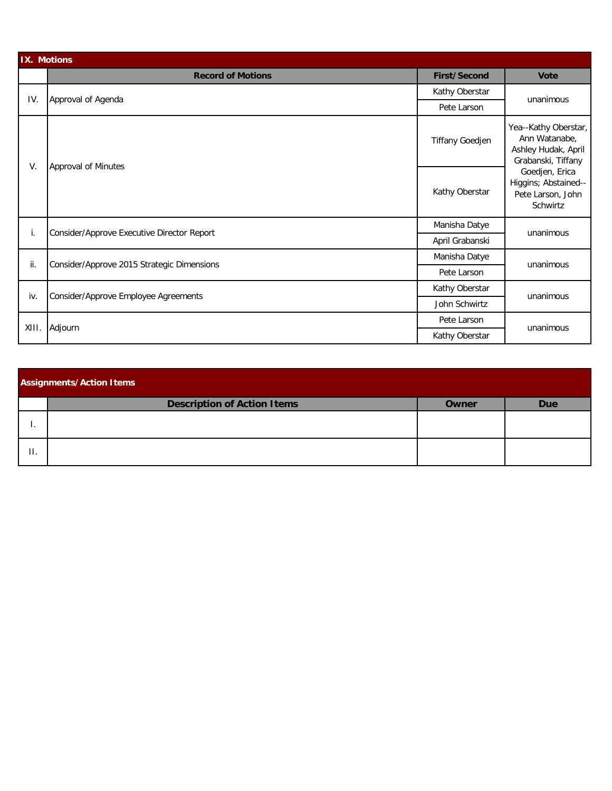| <b>IX. Motions</b> |                                            |                        |                                                                                    |  |  |  |  |
|--------------------|--------------------------------------------|------------------------|------------------------------------------------------------------------------------|--|--|--|--|
|                    | <b>Record of Motions</b>                   | <b>First/Second</b>    | <b>Vote</b>                                                                        |  |  |  |  |
| IV.                | Approval of Agenda                         | Kathy Oberstar         | unanimous                                                                          |  |  |  |  |
|                    |                                            | Pete Larson            |                                                                                    |  |  |  |  |
| V.                 | Approval of Minutes                        | <b>Tiffany Goedjen</b> | Yea--Kathy Oberstar,<br>Ann Watanabe,<br>Ashley Hudak, April<br>Grabanski, Tiffany |  |  |  |  |
|                    |                                            | Kathy Oberstar         | Goedjen, Erica<br>Higgins; Abstained--<br>Pete Larson, John<br>Schwirtz            |  |  |  |  |
| Τ.                 |                                            | Manisha Datye          | unanimous                                                                          |  |  |  |  |
|                    | Consider/Approve Executive Director Report | April Grabanski        |                                                                                    |  |  |  |  |
| ii.                | Consider/Approve 2015 Strategic Dimensions | Manisha Datye          | unanimous                                                                          |  |  |  |  |
|                    |                                            | Pete Larson            |                                                                                    |  |  |  |  |
| iv.                | Consider/Approve Employee Agreements       | Kathy Oberstar         | unanimous                                                                          |  |  |  |  |
|                    |                                            | John Schwirtz          |                                                                                    |  |  |  |  |
| XIII.              | Adjourn                                    | Pete Larson            | unanimous                                                                          |  |  |  |  |
|                    |                                            | Kathy Oberstar         |                                                                                    |  |  |  |  |

| <b>Assignments/Action Items</b> |                                    |       |            |  |  |  |  |
|---------------------------------|------------------------------------|-------|------------|--|--|--|--|
|                                 | <b>Description of Action Items</b> | Owner | <b>Due</b> |  |  |  |  |
|                                 |                                    |       |            |  |  |  |  |
| Η.                              |                                    |       |            |  |  |  |  |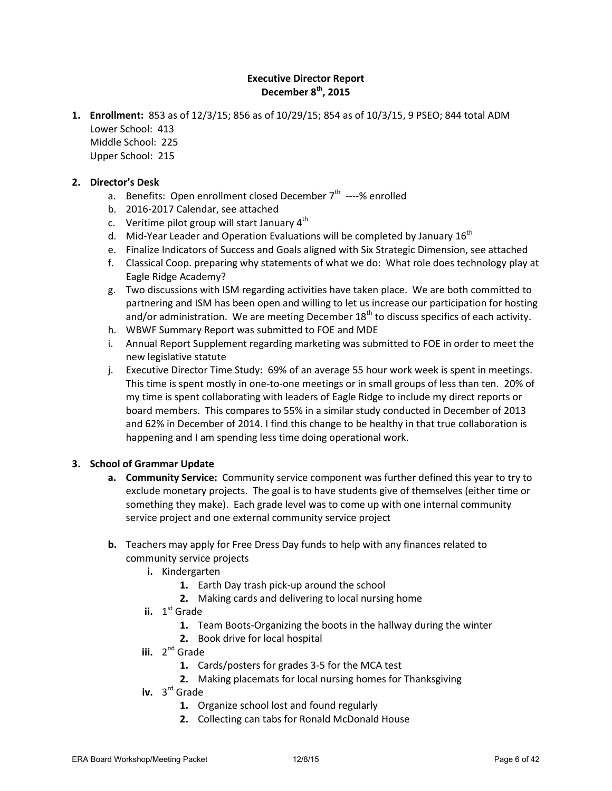#### **Executive Director Report December 8th, 2015**

**1. Enrollment:** 853 as of 12/3/15; 856 as of 10/29/15; 854 as of 10/3/15, 9 PSEO; 844 total ADM Lower School: 413

Middle School: 225 Upper School: 215

#### **2. Director's Desk**

- a. Benefits: Open enrollment closed December 7<sup>th</sup> ----% enrolled
- b. 2016-2017 Calendar, see attached
- c. Veritime pilot group will start January  $4<sup>th</sup>$
- d. Mid-Year Leader and Operation Evaluations will be completed by January  $16<sup>th</sup>$
- e. Finalize Indicators of Success and Goals aligned with Six Strategic Dimension, see attached
- f. Classical Coop. preparing why statements of what we do: What role does technology play at Eagle Ridge Academy?
- g. Two discussions with ISM regarding activities have taken place. We are both committed to partnering and ISM has been open and willing to let us increase our participation for hosting and/or administration. We are meeting December  $18<sup>th</sup>$  to discuss specifics of each activity.
- h. WBWF Summary Report was submitted to FOE and MDE
- i. Annual Report Supplement regarding marketing was submitted to FOE in order to meet the new legislative statute
- j. Executive Director Time Study: 69% of an average 55 hour work week is spent in meetings. This time is spent mostly in one-to-one meetings or in small groups of less than ten. 20% of my time is spent collaborating with leaders of Eagle Ridge to include my direct reports or board members. This compares to 55% in a similar study conducted in December of 2013 and 62% in December of 2014. I find this change to be healthy in that true collaboration is happening and I am spending less time doing operational work.

#### **3. School of Grammar Update**

- **a. Community Service:** Community service component was further defined this year to try to exclude monetary projects. The goal is to have students give of themselves (either time or something they make). Each grade level was to come up with one internal community service project and one external community service project
- **b.** Teachers may apply for Free Dress Day funds to help with any finances related to community service projects
	- **i.** Kindergarten
		- **1.** Earth Day trash pick-up around the school
		- **2.** Making cards and delivering to local nursing home
	- **ii.** 1<sup>st</sup> Grade
		- **1.** Team Boots-Organizing the boots in the hallway during the winter
		- **2.** Book drive for local hospital
	- **iii.** 2<sup>nd</sup> Grade
		- **1.** Cards/posters for grades 3-5 for the MCA test
		- **2.** Making placemats for local nursing homes for Thanksgiving
	- **iv.** 3 rd Grade
		- **1.** Organize school lost and found regularly
		- **2.** Collecting can tabs for Ronald McDonald House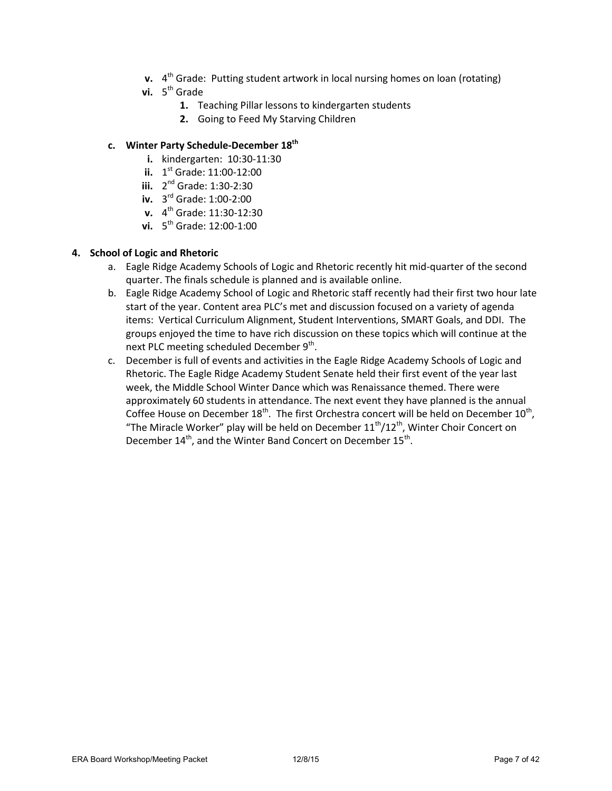- **v.** 4<sup>th</sup> Grade: Putting student artwork in local nursing homes on loan (rotating)
- **vi.** 5<sup>th</sup> Grade
	- **1.** Teaching Pillar lessons to kindergarten students
	- **2.** Going to Feed My Starving Children

#### **c. Winter Party Schedule-December 18th**

- **i.** kindergarten: 10:30-11:30
- **ii.** 1 st Grade: 11:00-12:00
- **iii.** 2<sup>nd</sup> Grade: 1:30-2:30
- **iv.** 3 rd Grade: 1:00-2:00
- **v.** 4 th Grade: 11:30-12:30
- **vi.** 5 th Grade: 12:00-1:00

#### **4. School of Logic and Rhetoric**

- a. Eagle Ridge Academy Schools of Logic and Rhetoric recently hit mid-quarter of the second quarter. The finals schedule is planned and is available online.
- b. Eagle Ridge Academy School of Logic and Rhetoric staff recently had their first two hour late start of the year. Content area PLC's met and discussion focused on a variety of agenda items: Vertical Curriculum Alignment, Student Interventions, SMART Goals, and DDI. The groups enjoyed the time to have rich discussion on these topics which will continue at the next PLC meeting scheduled December 9<sup>th</sup>.
- c. December is full of events and activities in the Eagle Ridge Academy Schools of Logic and Rhetoric. The Eagle Ridge Academy Student Senate held their first event of the year last week, the Middle School Winter Dance which was Renaissance themed. There were approximately 60 students in attendance. The next event they have planned is the annual Coffee House on December 18<sup>th</sup>. The first Orchestra concert will be held on December 10<sup>th</sup>, "The Miracle Worker" play will be held on December  $11^{th}/12^{th}$ , Winter Choir Concert on December 14<sup>th</sup>, and the Winter Band Concert on December 15<sup>th</sup>.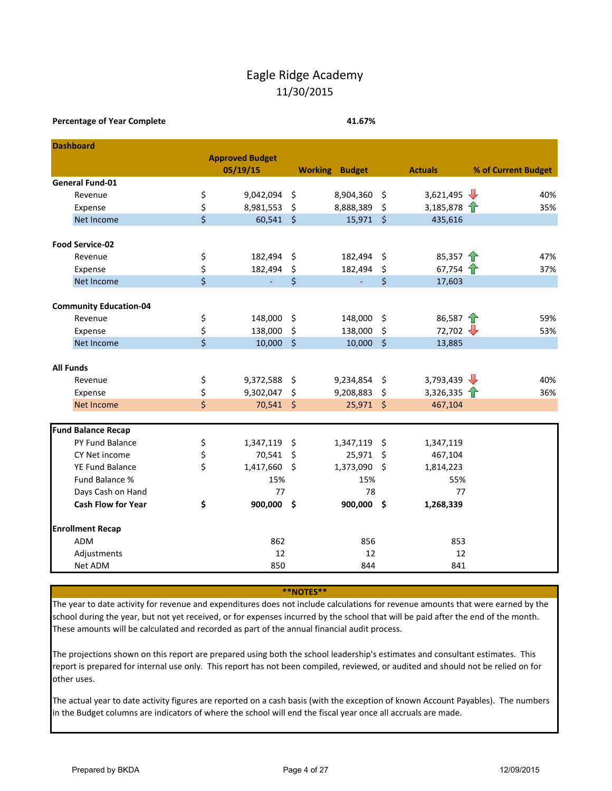## Eagle Ridge Academy 11/30/2015

#### **Percentage of Year Complete 41.67%**

| <b>Dashboard</b>              |                         |                        |                     |                       |         |                         |                     |
|-------------------------------|-------------------------|------------------------|---------------------|-----------------------|---------|-------------------------|---------------------|
|                               |                         | <b>Approved Budget</b> |                     |                       |         |                         |                     |
|                               |                         | 05/19/15               |                     | <b>Working Budget</b> |         | <b>Actuals</b>          | % of Current Budget |
| <b>General Fund-01</b>        |                         |                        |                     |                       |         |                         |                     |
| Revenue                       | \$                      | 9,042,094              | \$                  | 8,904,360             | \$      | 3,621,495 $\frac{1}{2}$ | 40%                 |
| Expense                       | \$                      | 8,981,553              | \$                  | 8,888,389             | \$      | 3,185,878 $\uparrow$    | 35%                 |
| Net Income                    | \$                      | 60,541                 | $\ddot{\mathsf{s}}$ | 15,971                | $\zeta$ | 435,616                 |                     |
| <b>Food Service-02</b>        |                         |                        |                     |                       |         |                         |                     |
| Revenue                       | \$                      | 182,494                | \$                  | 182,494               | \$      | 85,357 $\uparrow$       | 47%                 |
| Expense                       | \$                      | 182,494                | \$                  | 182,494               | \$      | 67,754 $\uparrow$       | 37%                 |
| Net Income                    | $\overline{\mathsf{S}}$ | ÷.                     | \$                  |                       | \$      | 17,603                  |                     |
|                               |                         |                        |                     |                       |         |                         |                     |
| <b>Community Education-04</b> |                         |                        |                     |                       |         |                         |                     |
| Revenue                       | \$                      | 148,000                | \$                  | 148,000               | \$      | 86,587 $\uparrow$       | 59%                 |
| Expense                       | \$                      | 138,000                | \$                  | 138,000               | \$      | 72,702                  | 53%                 |
| Net Income                    | \$                      | 10,000                 | $\zeta$             | 10,000                | $\zeta$ | 13,885                  |                     |
| <b>All Funds</b>              |                         |                        |                     |                       |         |                         |                     |
| Revenue                       | \$                      | 9,372,588              | \$                  | 9,234,854             | \$      | 3,793,439 $\frac{1}{2}$ | 40%                 |
| Expense                       | \$                      | 9,302,047              | \$                  | 9,208,883             | \$      | 3,326,335               | 36%                 |
| Net Income                    | \$                      | 70,541 \$              |                     | 25,971                | $\zeta$ | 467,104                 |                     |
|                               |                         |                        |                     |                       |         |                         |                     |
| <b>Fund Balance Recap</b>     |                         |                        |                     |                       |         |                         |                     |
| PY Fund Balance               | \$                      | 1,347,119              | \$                  | 1,347,119             | \$      | 1,347,119               |                     |
| CY Net income                 | \$                      | 70,541                 | Ś                   | 25,971                | \$      | 467,104                 |                     |
| <b>YE Fund Balance</b>        | \$                      | 1,417,660              | $\zeta$             | 1,373,090             | \$      | 1,814,223               |                     |
| Fund Balance %                |                         | 15%                    |                     | 15%                   |         | 55%                     |                     |
| Days Cash on Hand             |                         | 77                     |                     | 78                    |         | 77                      |                     |
| <b>Cash Flow for Year</b>     | \$                      | 900,000 \$             |                     | 900,000 \$            |         | 1,268,339               |                     |
| <b>Enrollment Recap</b>       |                         |                        |                     |                       |         |                         |                     |
| <b>ADM</b>                    |                         | 862                    |                     | 856                   |         | 853                     |                     |
| Adjustments                   |                         | 12                     |                     | 12                    |         | 12                      |                     |
| Net ADM                       |                         | 850                    |                     | 844                   |         | 841                     |                     |

**\*\*NOTES\*\***

The year to date activity for revenue and expenditures does not include calculations for revenue amounts that were earned by the school during the year, but not yet received, or for expenses incurred by the school that will be paid after the end of the month. These amounts will be calculated and recorded as part of the annual financial audit process.

The projections shown on this report are prepared using both the school leadership's estimates and consultant estimates. This report is prepared for internal use only. This report has not been compiled, reviewed, or audited and should not be relied on for other uses.

The actual year to date activity figures are reported on a cash basis (with the exception of known Account Payables). The numbers in the Budget columns are indicators of where the school will end the fiscal year once all accruals are made.